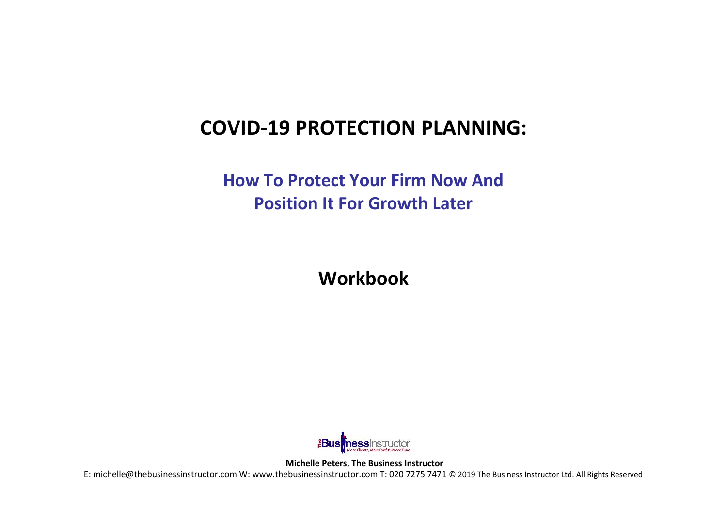# **COVID-19 PROTECTION PLANNING:**

**How To Protect Your Firm Now And Position It For Growth Later**

**Workbook**



**Michelle Peters, The Business Instructor**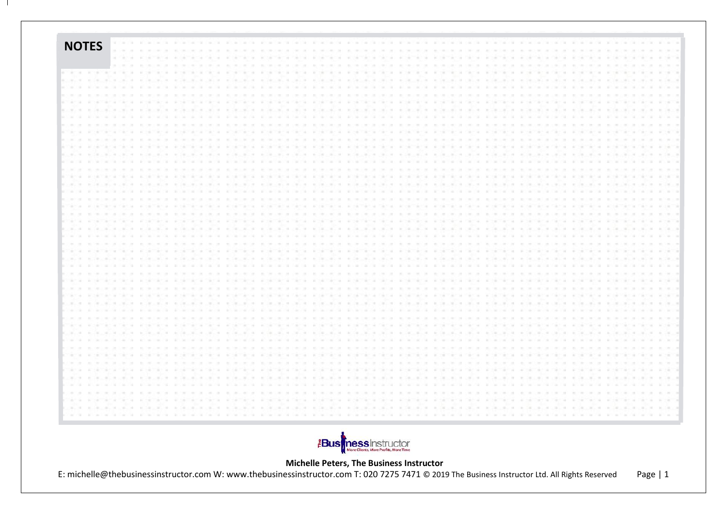| <b>NOTES</b>  |     |  |  |  |            |
|---------------|-----|--|--|--|------------|
|               |     |  |  |  | <b>COL</b> |
|               | a c |  |  |  |            |
|               |     |  |  |  |            |
| ALC: NOTES    |     |  |  |  | na.        |
|               |     |  |  |  | œ          |
|               |     |  |  |  |            |
|               |     |  |  |  |            |
|               |     |  |  |  |            |
|               |     |  |  |  |            |
|               |     |  |  |  |            |
|               |     |  |  |  |            |
|               |     |  |  |  | 76         |
|               |     |  |  |  |            |
|               |     |  |  |  |            |
|               |     |  |  |  |            |
|               |     |  |  |  |            |
|               |     |  |  |  |            |
|               |     |  |  |  |            |
|               |     |  |  |  |            |
|               |     |  |  |  |            |
|               |     |  |  |  |            |
|               |     |  |  |  |            |
|               |     |  |  |  |            |
|               |     |  |  |  |            |
|               |     |  |  |  |            |
|               |     |  |  |  |            |
|               |     |  |  |  |            |
|               |     |  |  |  |            |
|               |     |  |  |  |            |
|               |     |  |  |  |            |
|               |     |  |  |  |            |
|               |     |  |  |  |            |
|               |     |  |  |  |            |
|               |     |  |  |  |            |
|               |     |  |  |  |            |
|               |     |  |  |  |            |
|               |     |  |  |  |            |
|               |     |  |  |  |            |
|               |     |  |  |  |            |
|               |     |  |  |  |            |
|               |     |  |  |  |            |
|               |     |  |  |  |            |
|               |     |  |  |  |            |
|               |     |  |  |  |            |
|               |     |  |  |  |            |
| w             |     |  |  |  |            |
| $\mathcal{L}$ |     |  |  |  |            |
|               |     |  |  |  |            |
|               |     |  |  |  |            |
| $\sim$        |     |  |  |  |            |
|               |     |  |  |  |            |
| $-100$        |     |  |  |  |            |
|               |     |  |  |  |            |

 $\mathbf{I}$ 



**Michelle Peters, The Business Instructor**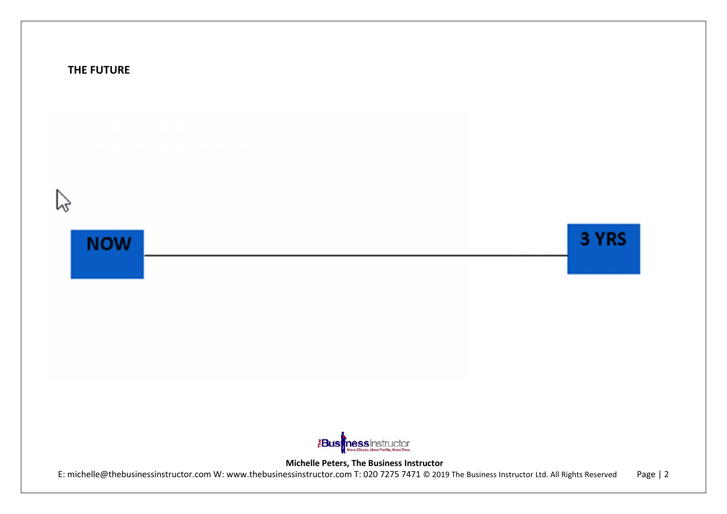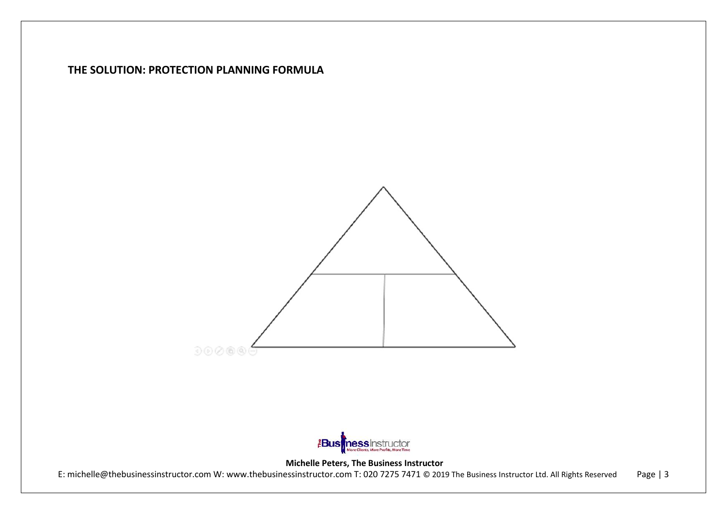### **THE SOLUTION: PROTECTION PLANNING FORMULA**





**Michelle Peters, The Business Instructor**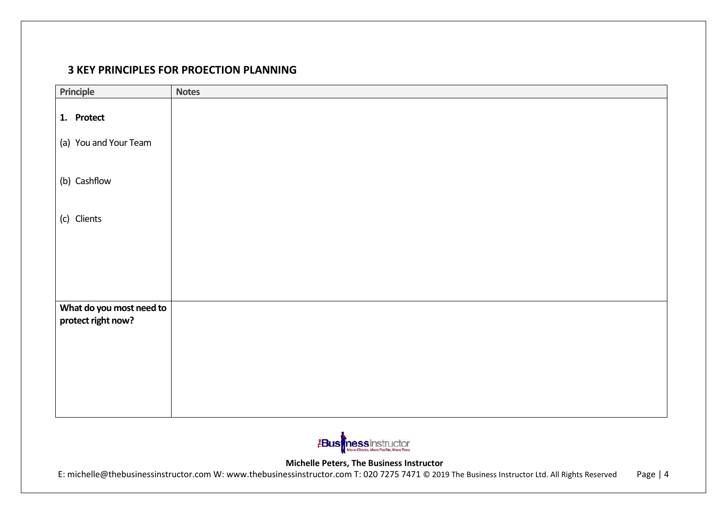## **3 KEY PRINCIPLES FOR PROECTION PLANNING**

| Principle                                                                                                            | <b>Notes</b> |  |  |
|----------------------------------------------------------------------------------------------------------------------|--------------|--|--|
| 1. Protect                                                                                                           |              |  |  |
| (a) You and Your Team                                                                                                |              |  |  |
| (b) Cashflow                                                                                                         |              |  |  |
|                                                                                                                      |              |  |  |
| (c) Clients                                                                                                          |              |  |  |
|                                                                                                                      |              |  |  |
|                                                                                                                      |              |  |  |
| What do you most need to<br>protect right now?                                                                       |              |  |  |
|                                                                                                                      |              |  |  |
|                                                                                                                      |              |  |  |
|                                                                                                                      |              |  |  |
| <b>Expertise Advised Advised Advised Advised Advised Advised Advised Advised Advised Advised Advised Advised Adv</b> |              |  |  |



**Michelle Peters, The Business Instructor**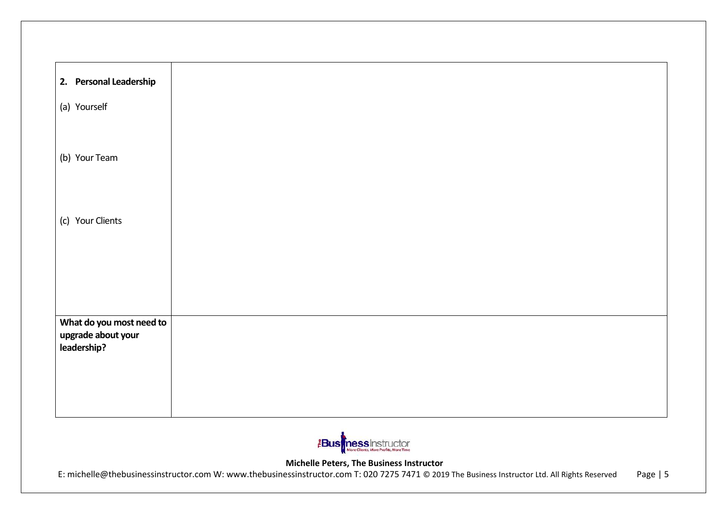| 2. Personal Leadership   |  |
|--------------------------|--|
|                          |  |
| (a) Yourself             |  |
|                          |  |
|                          |  |
| (b) Your Team            |  |
|                          |  |
|                          |  |
|                          |  |
|                          |  |
| (c) Your Clients         |  |
|                          |  |
|                          |  |
|                          |  |
|                          |  |
|                          |  |
| What do you most need to |  |
| upgrade about your       |  |
| leadership?              |  |
|                          |  |
|                          |  |
|                          |  |
|                          |  |



**Michelle Peters, The Business Instructor**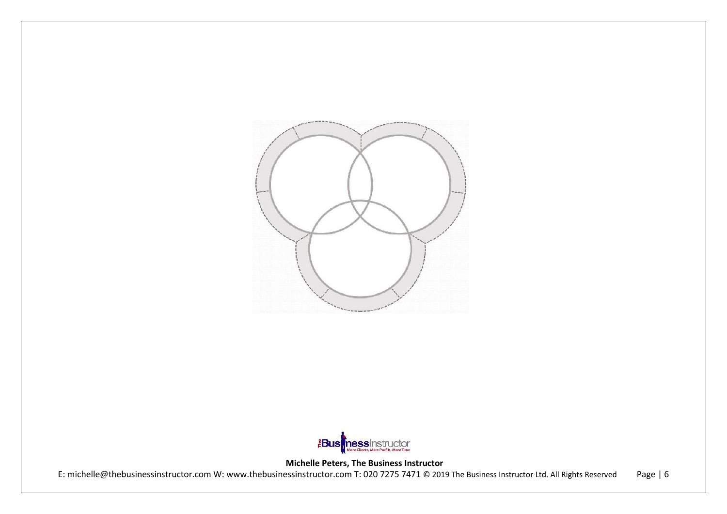



**Michelle Peters, The Business Instructor**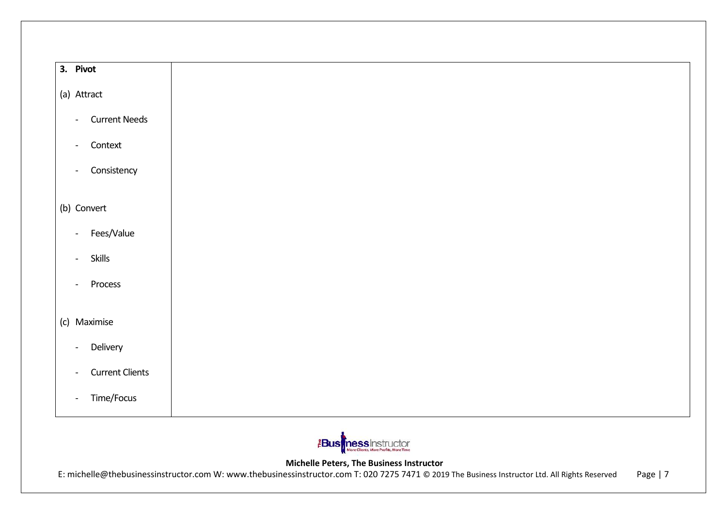# **3. Pivot** (a) Attract - Current Needs - Context - Consistency (b) Convert - Fees/Value - Skills - Process (c) Maximise - Delivery - Current Clients - Time/Focus



**Michelle Peters, The Business Instructor**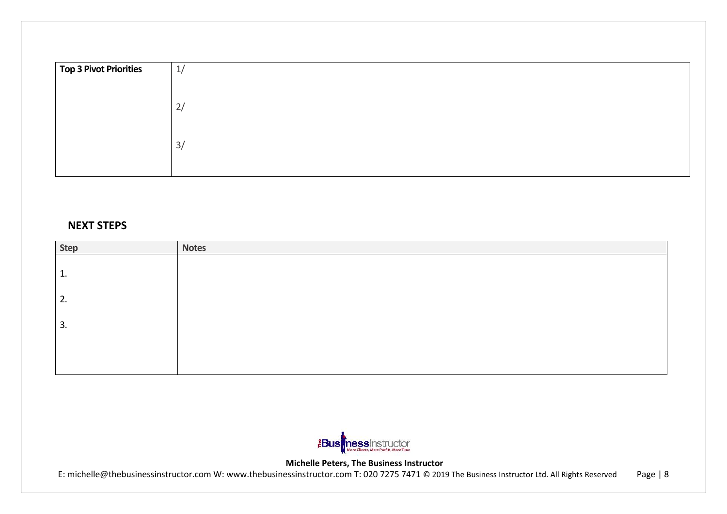### **NEXT STEPS**

| <b>Step</b> | <b>Notes</b> |
|-------------|--------------|
|             |              |
| и<br>T.     |              |
|             |              |
| 2.          |              |
|             |              |
| 3.          |              |
|             |              |
|             |              |
|             |              |
|             |              |
|             |              |



**Michelle Peters, The Business Instructor**